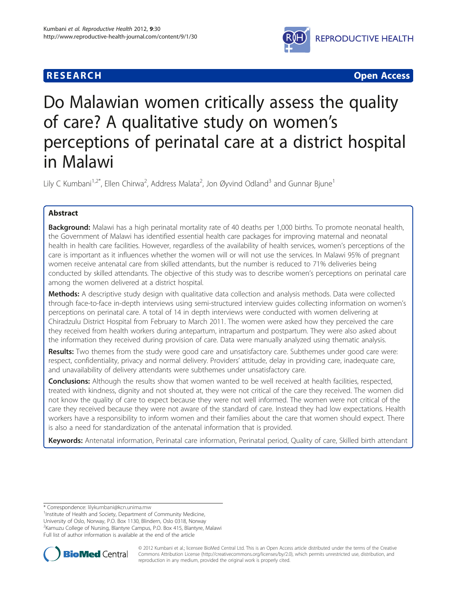# **RESEARCH CHEAR CHEAR CHEAR CHEAR CHEAR CHEAR CHEAR CHEAR CHEAR CHEAR CHEAR CHEAR CHEAR CHEAR CHEAR CHEAR CHEAR**



# Do Malawian women critically assess the quality of care? A qualitative study on women's perceptions of perinatal care at a district hospital in Malawi

Lily C Kumbani<sup>1,2\*</sup>, Ellen Chirwa<sup>2</sup>, Address Malata<sup>2</sup>, Jon Øyvind Odland<sup>3</sup> and Gunnar Bjune<sup>1</sup>

# Abstract

Background: Malawi has a high perinatal mortality rate of 40 deaths per 1,000 births. To promote neonatal health, the Government of Malawi has identified essential health care packages for improving maternal and neonatal health in health care facilities. However, regardless of the availability of health services, women's perceptions of the care is important as it influences whether the women will or will not use the services. In Malawi 95% of pregnant women receive antenatal care from skilled attendants, but the number is reduced to 71% deliveries being conducted by skilled attendants. The objective of this study was to describe women's perceptions on perinatal care among the women delivered at a district hospital.

Methods: A descriptive study design with qualitative data collection and analysis methods. Data were collected through face-to-face in-depth interviews using semi-structured interview guides collecting information on women's perceptions on perinatal care. A total of 14 in depth interviews were conducted with women delivering at Chiradzulu District Hospital from February to March 2011. The women were asked how they perceived the care they received from health workers during antepartum, intrapartum and postpartum. They were also asked about the information they received during provision of care. Data were manually analyzed using thematic analysis.

Results: Two themes from the study were good care and unsatisfactory care. Subthemes under good care were: respect, confidentiality, privacy and normal delivery. Providers' attitude, delay in providing care, inadequate care, and unavailability of delivery attendants were subthemes under unsatisfactory care.

Conclusions: Although the results show that women wanted to be well received at health facilities, respected, treated with kindness, dignity and not shouted at, they were not critical of the care they received. The women did not know the quality of care to expect because they were not well informed. The women were not critical of the care they received because they were not aware of the standard of care. Instead they had low expectations. Health workers have a responsibility to inform women and their families about the care that women should expect. There is also a need for standardization of the antenatal information that is provided.

Keywords: Antenatal information, Perinatal care information, Perinatal period, Quality of care, Skilled birth attendant

\* Correspondence: [lilykumbani@kcn.unima.mw](mailto:lilykumbani@kcn.unima.mw) <sup>1</sup>

<sup>1</sup>Institute of Health and Society, Department of Community Medicine,

University of Oslo, Norway, P.O. Box 1130, Blindern, Oslo 0318, Norway 2 Kamuzu College of Nursing, Blantyre Campus, P.O. Box 415, Blantyre, Malawi

Full list of author information is available at the end of the article



© 2012 Kumbani et al.; licensee BioMed Central Ltd. This is an Open Access article distributed under the terms of the Creative Commons Attribution License [\(http://creativecommons.org/licenses/by/2.0\)](http://creativecommons.org/licenses/by/2.0), which permits unrestricted use, distribution, and reproduction in any medium, provided the original work is properly cited.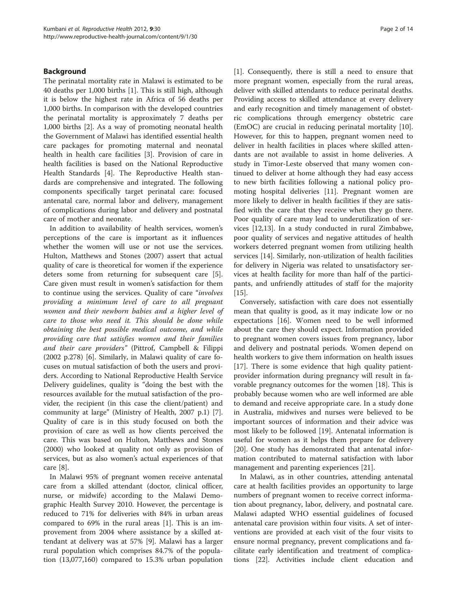# Background

The perinatal mortality rate in Malawi is estimated to be 40 deaths per 1,000 births [[1\]](#page-12-0). This is still high, although it is below the highest rate in Africa of 56 deaths per 1,000 births. In comparison with the developed countries the perinatal mortality is approximately 7 deaths per 1,000 births [[2\]](#page-12-0). As a way of promoting neonatal health the Government of Malawi has identified essential health care packages for promoting maternal and neonatal health in health care facilities [\[3\]](#page-12-0). Provision of care in health facilities is based on the National Reproductive Health Standards [\[4](#page-12-0)]. The Reproductive Health standards are comprehensive and integrated. The following components specifically target perinatal care: focused antenatal care, normal labor and delivery, management of complications during labor and delivery and postnatal care of mother and neonate.

In addition to availability of health services, women's perceptions of the care is important as it influences whether the women will use or not use the services. Hulton, Matthews and Stones (2007) assert that actual quality of care is theoretical for women if the experience deters some from returning for subsequent care [\[5](#page-12-0)]. Care given must result in women's satisfaction for them to continue using the services. Quality of care "involves providing a minimum level of care to all pregnant women and their newborn babies and a higher level of care to those who need it. This should be done while obtaining the best possible medical outcome, and while providing care that satisfies women and their families and their care providers" (Pittrof, Campbell & Filippi (2002 p.278) [\[6](#page-12-0)]. Similarly, in Malawi quality of care focuses on mutual satisfaction of both the users and providers. According to National Reproductive Health Service Delivery guidelines, quality is "doing the best with the resources available for the mutual satisfaction of the provider, the recipient (in this case the client/patient) and community at large" (Ministry of Health, 2007 p.1) [\[7](#page-12-0)]. Quality of care is in this study focused on both the provision of care as well as how clients perceived the care. This was based on Hulton, Matthews and Stones (2000) who looked at quality not only as provision of services, but as also women's actual experiences of that care [[8\]](#page-12-0).

In Malawi 95% of pregnant women receive antenatal care from a skilled attendant (doctor, clinical officer, nurse, or midwife) according to the Malawi Demographic Health Survey 2010. However, the percentage is reduced to 71% for deliveries with 84% in urban areas compared to 69% in the rural areas [\[1](#page-12-0)]. This is an improvement from 2004 where assistance by a skilled attendant at delivery was at 57% [\[9](#page-12-0)]. Malawi has a larger rural population which comprises 84.7% of the population (13,077,160) compared to 15.3% urban population [[1\]](#page-12-0). Consequently, there is still a need to ensure that more pregnant women, especially from the rural areas, deliver with skilled attendants to reduce perinatal deaths. Providing access to skilled attendance at every delivery and early recognition and timely management of obstetric complications through emergency obstetric care (EmOC) are crucial in reducing perinatal mortality [\[10](#page-12-0)]. However, for this to happen, pregnant women need to deliver in health facilities in places where skilled attendants are not available to assist in home deliveries. A study in Timor-Leste observed that many women continued to deliver at home although they had easy access to new birth facilities following a national policy promoting hospital deliveries [[11\]](#page-12-0). Pregnant women are more likely to deliver in health facilities if they are satisfied with the care that they receive when they go there. Poor quality of care may lead to underutilization of services [[12,13\]](#page-12-0). In a study conducted in rural Zimbabwe, poor quality of services and negative attitudes of health workers deterred pregnant women from utilizing health services [[14\]](#page-12-0). Similarly, non-utilization of health facilities for delivery in Nigeria was related to unsatisfactory services at health facility for more than half of the participants, and unfriendly attitudes of staff for the majority [[15\]](#page-12-0).

Conversely, satisfaction with care does not essentially mean that quality is good, as it may indicate low or no expectations [[16](#page-12-0)]. Women need to be well informed about the care they should expect. Information provided to pregnant women covers issues from pregnancy, labor and delivery and postnatal periods. Women depend on health workers to give them information on health issues [[17\]](#page-12-0). There is some evidence that high quality patientprovider information during pregnancy will result in favorable pregnancy outcomes for the women [[18](#page-12-0)]. This is probably because women who are well informed are able to demand and receive appropriate care. In a study done in Australia, midwives and nurses were believed to be important sources of information and their advice was most likely to be followed [[19\]](#page-12-0). Antenatal information is useful for women as it helps them prepare for delivery [[20\]](#page-12-0). One study has demonstrated that antenatal information contributed to maternal satisfaction with labor management and parenting experiences [[21\]](#page-12-0).

In Malawi, as in other countries, attending antenatal care at health facilities provides an opportunity to large numbers of pregnant women to receive correct information about pregnancy, labor, delivery, and postnatal care. Malawi adapted WHO essential guidelines of focused antenatal care provision within four visits. A set of interventions are provided at each visit of the four visits to ensure normal pregnancy, prevent complications and facilitate early identification and treatment of complications [\[22](#page-12-0)]. Activities include client education and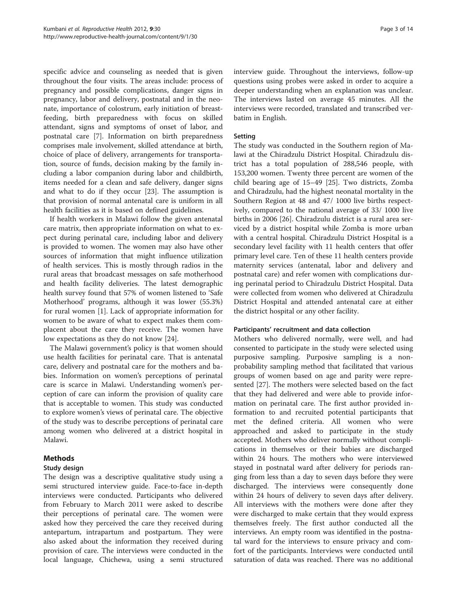specific advice and counseling as needed that is given throughout the four visits. The areas include: process of pregnancy and possible complications, danger signs in pregnancy, labor and delivery, postnatal and in the neonate, importance of colostrum, early initiation of breastfeeding, birth preparedness with focus on skilled attendant, signs and symptoms of onset of labor, and postnatal care [[7\]](#page-12-0). Information on birth preparedness comprises male involvement, skilled attendance at birth, choice of place of delivery, arrangements for transportation, source of funds, decision making by the family including a labor companion during labor and childbirth, items needed for a clean and safe delivery, danger signs and what to do if they occur [[23\]](#page-12-0). The assumption is that provision of normal antenatal care is uniform in all health facilities as it is based on defined guidelines.

If health workers in Malawi follow the given antenatal care matrix, then appropriate information on what to expect during perinatal care, including labor and delivery is provided to women. The women may also have other sources of information that might influence utilization of health services. This is mostly through radios in the rural areas that broadcast messages on safe motherhood and health facility deliveries. The latest demographic health survey found that 57% of women listened to 'Safe Motherhood' programs, although it was lower (55.3%) for rural women [\[1](#page-12-0)]. Lack of appropriate information for women to be aware of what to expect makes them complacent about the care they receive. The women have low expectations as they do not know [[24\]](#page-12-0).

The Malawi government's policy is that women should use health facilities for perinatal care. That is antenatal care, delivery and postnatal care for the mothers and babies. Information on women's perceptions of perinatal care is scarce in Malawi. Understanding women's perception of care can inform the provision of quality care that is acceptable to women. This study was conducted to explore women's views of perinatal care. The objective of the study was to describe perceptions of perinatal care among women who delivered at a district hospital in Malawi.

# Methods

# Study design

The design was a descriptive qualitative study using a semi structured interview guide. Face-to-face in-depth interviews were conducted. Participants who delivered from February to March 2011 were asked to describe their perceptions of perinatal care. The women were asked how they perceived the care they received during antepartum, intrapartum and postpartum. They were also asked about the information they received during provision of care. The interviews were conducted in the local language, Chichewa, using a semi structured interview guide. Throughout the interviews, follow-up questions using probes were asked in order to acquire a deeper understanding when an explanation was unclear. The interviews lasted on average 45 minutes. All the interviews were recorded, translated and transcribed verbatim in English.

# Setting

The study was conducted in the Southern region of Malawi at the Chiradzulu District Hospital. Chiradzulu district has a total population of 288,546 people, with 153,200 women. Twenty three percent are women of the child bearing age of 15–49 [[25\]](#page-12-0). Two districts, Zomba and Chiradzulu, had the highest neonatal mortality in the Southern Region at 48 and 47/ 1000 live births respectively, compared to the national average of 33/ 1000 live births in 2006 [\[26](#page-12-0)]. Chiradzulu district is a rural area serviced by a district hospital while Zomba is more urban with a central hospital. Chiradzulu District Hospital is a secondary level facility with 11 health centers that offer primary level care. Ten of these 11 health centers provide maternity services (antenatal, labor and delivery and postnatal care) and refer women with complications during perinatal period to Chiradzulu District Hospital. Data were collected from women who delivered at Chiradzulu District Hospital and attended antenatal care at either the district hospital or any other facility.

# Participants' recruitment and data collection

Mothers who delivered normally, were well, and had consented to participate in the study were selected using purposive sampling. Purposive sampling is a nonprobability sampling method that facilitated that various groups of women based on age and parity were represented [\[27\]](#page-12-0). The mothers were selected based on the fact that they had delivered and were able to provide information on perinatal care. The first author provided information to and recruited potential participants that met the defined criteria. All women who were approached and asked to participate in the study accepted. Mothers who deliver normally without complications in themselves or their babies are discharged within 24 hours. The mothers who were interviewed stayed in postnatal ward after delivery for periods ranging from less than a day to seven days before they were discharged. The interviews were consequently done within 24 hours of delivery to seven days after delivery. All interviews with the mothers were done after they were discharged to make certain that they would express themselves freely. The first author conducted all the interviews. An empty room was identified in the postnatal ward for the interviews to ensure privacy and comfort of the participants. Interviews were conducted until saturation of data was reached. There was no additional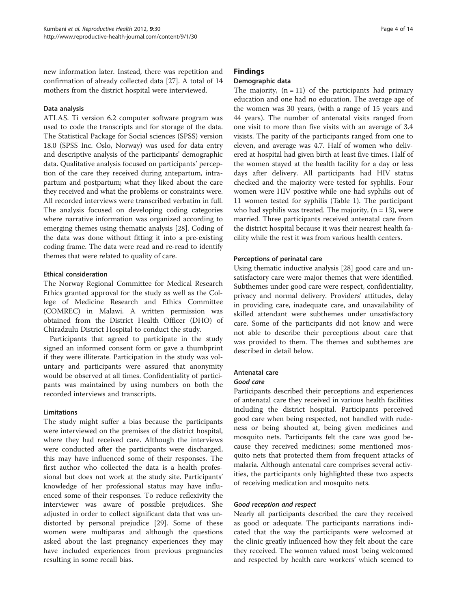new information later. Instead, there was repetition and confirmation of already collected data [\[27](#page-12-0)]. A total of 14 mothers from the district hospital were interviewed.

# Data analysis

ATLAS. Ti version 6.2 computer software program was used to code the transcripts and for storage of the data. The Statistical Package for Social sciences (SPSS) version 18.0 (SPSS Inc. Oslo, Norway) was used for data entry and descriptive analysis of the participants' demographic data. Qualitative analysis focused on participants' perception of the care they received during antepartum, intrapartum and postpartum; what they liked about the care they received and what the problems or constraints were. All recorded interviews were transcribed verbatim in full. The analysis focused on developing coding categories where narrative information was organized according to emerging themes using thematic analysis [\[28](#page-12-0)]. Coding of the data was done without fitting it into a pre-existing coding frame. The data were read and re-read to identify themes that were related to quality of care.

# Ethical consideration

The Norway Regional Committee for Medical Research Ethics granted approval for the study as well as the College of Medicine Research and Ethics Committee (COMREC) in Malawi. A written permission was obtained from the District Health Officer (DHO) of Chiradzulu District Hospital to conduct the study.

Participants that agreed to participate in the study signed an informed consent form or gave a thumbprint if they were illiterate. Participation in the study was voluntary and participants were assured that anonymity would be observed at all times. Confidentiality of participants was maintained by using numbers on both the recorded interviews and transcripts.

# Limitations

The study might suffer a bias because the participants were interviewed on the premises of the district hospital, where they had received care. Although the interviews were conducted after the participants were discharged, this may have influenced some of their responses. The first author who collected the data is a health professional but does not work at the study site. Participants' knowledge of her professional status may have influenced some of their responses. To reduce reflexivity the interviewer was aware of possible prejudices. She adjusted in order to collect significant data that was undistorted by personal prejudice [\[29\]](#page-12-0). Some of these women were multiparas and although the questions asked about the last pregnancy experiences they may have included experiences from previous pregnancies resulting in some recall bias.

# Findings

# Demographic data

The majority,  $(n = 11)$  of the participants had primary education and one had no education. The average age of the women was 30 years, (with a range of 15 years and 44 years). The number of antenatal visits ranged from one visit to more than five visits with an average of 3.4 visists. The parity of the participants ranged from one to eleven, and average was 4.7. Half of women who delivered at hospital had given birth at least five times. Half of the women stayed at the health facility for a day or less days after delivery. All participants had HIV status checked and the majority were tested for syphilis. Four women were HIV positive while one had syphilis out of 11 women tested for syphilis (Table [1\)](#page-4-0). The participant who had syphilis was treated. The majority,  $(n = 13)$ , were married. Three participants received antenatal care from the district hospital because it was their nearest health facility while the rest it was from various health centers.

# Perceptions of perinatal care

Using thematic inductive analysis [[28](#page-12-0)] good care and unsatisfactory care were major themes that were identified. Subthemes under good care were respect, confidentiality, privacy and normal delivery. Providers' attitudes, delay in providing care, inadequate care, and unavailability of skilled attendant were subthemes under unsatisfactory care. Some of the participants did not know and were not able to describe their perceptions about care that was provided to them. The themes and subthemes are described in detail below.

# Antenatal care

# Good care

Participants described their perceptions and experiences of antenatal care they received in various health facilities including the district hospital. Participants perceived good care when being respected, not handled with rudeness or being shouted at, being given medicines and mosquito nets. Participants felt the care was good because they received medicines; some mentioned mosquito nets that protected them from frequent attacks of malaria. Although antenatal care comprises several activities, the participants only highlighted these two aspects of receiving medication and mosquito nets.

# Good reception and respect

Nearly all participants described the care they received as good or adequate. The participants narrations indicated that the way the participants were welcomed at the clinic greatly influenced how they felt about the care they received. The women valued most 'being welcomed and respected by health care workers' which seemed to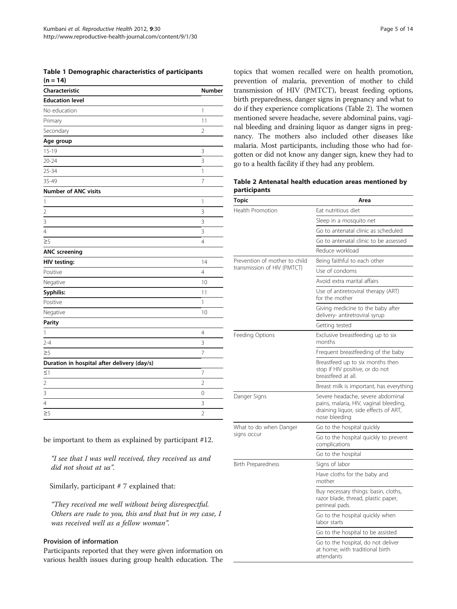<span id="page-4-0"></span>Table 1 Demographic characteristics of participants  $(n = 14)$ 

| Characteristic                              | Number         |
|---------------------------------------------|----------------|
| <b>Education level</b>                      |                |
| No education                                | 1              |
| Primary                                     | 11             |
| Secondary                                   | $\overline{2}$ |
| Age group                                   |                |
| $15 - 19$                                   | 3              |
| $20 - 24$                                   | 3              |
| $25 - 34$                                   | 1              |
| 35-49                                       | 7              |
| <b>Number of ANC visits</b>                 |                |
| 1                                           | $\mathbf{1}$   |
| $\overline{2}$                              | 3              |
| $\overline{3}$                              | 3              |
| $\overline{4}$                              | 3              |
| $\geq 5$                                    | 4              |
| <b>ANC screening</b>                        |                |
| <b>HIV testing:</b>                         | 14             |
| Positive                                    | 4              |
| Negative                                    | 10             |
| Syphilis:                                   | 11             |
| Positive                                    | 1              |
| Negative                                    | 10             |
| <b>Parity</b>                               |                |
| 1                                           | $\overline{4}$ |
| $2 - 4$                                     | 3              |
| $\geq 5$                                    | $\overline{7}$ |
| Duration in hospital after delivery (day/s) |                |
| $\leq$                                      | 7              |
| $\overline{a}$                              | $\overline{2}$ |
| $\frac{1}{3}$                               | $\mathbf 0$    |
| 4                                           | 3              |
| $\geq 5$                                    | $\overline{a}$ |

be important to them as explained by participant #12.

"I see that I was well received, they received us and did not shout at us".

Similarly, participant # 7 explained that:

"They received me well without being disrespectful. Others are rude to you, this and that but in my case, I was received well as a fellow woman".

#### Provision of information

Participants reported that they were given information on various health issues during group health education. The

topics that women recalled were on health promotion, prevention of malaria, prevention of mother to child transmission of HIV (PMTCT), breast feeding options, birth preparedness, danger signs in pregnancy and what to do if they experience complications (Table 2). The women mentioned severe headache, severe abdominal pains, vaginal bleeding and draining liquor as danger signs in pregnancy. The mothers also included other diseases like malaria. Most participants, including those who had forgotten or did not know any danger sign, knew they had to go to a health facility if they had any problem.

Table 2 Antenatal health education areas mentioned by participants

| Topic                                 | Area                                                                                                                                  |
|---------------------------------------|---------------------------------------------------------------------------------------------------------------------------------------|
| Health Promotion                      | Eat nutritious diet                                                                                                                   |
|                                       | Sleep in a mosquito net                                                                                                               |
|                                       | Go to antenatal clinic as scheduled                                                                                                   |
|                                       | Go to antenatal clinic to be assessed                                                                                                 |
|                                       | Reduce workload                                                                                                                       |
| Prevention of mother to child         | Being faithful to each other                                                                                                          |
| transmission of HIV (PMTCT)           | Use of condoms                                                                                                                        |
|                                       | Avoid extra marital affairs                                                                                                           |
|                                       | Use of antiretroviral therapy (ART)<br>for the mother                                                                                 |
|                                       | Giving medicine to the baby after<br>delivery- antiretroviral syrup                                                                   |
|                                       | Getting tested                                                                                                                        |
| Feeding Options                       | Exclusive breastfeeding up to six<br>months                                                                                           |
|                                       | Frequent breastfeeding of the baby                                                                                                    |
|                                       | Breastfeed up to six months then<br>stop if HIV positive, or do not<br>breastfeed at all.                                             |
|                                       | Breast milk is important, has everything                                                                                              |
| Danger Signs                          | Severe headache, severe abdominal<br>pains, malaria, HIV, vaginal bleeding,<br>draining liquor, side effects of ART,<br>nose bleeding |
| What to do when Danger<br>signs occur | Go to the hospital quickly                                                                                                            |
|                                       | Go to the hospital quickly to prevent<br>complications                                                                                |
|                                       | Go to the hospital                                                                                                                    |
| <b>Birth Preparedness</b>             | Signs of labor                                                                                                                        |
|                                       | Have cloths for the baby and<br>mother                                                                                                |
|                                       | Buy necessary things: basin, cloths,<br>razor blade, thread, plastic paper,<br>perineal pads.                                         |
|                                       | Go to the hospital quickly when<br>labor starts                                                                                       |
|                                       | Go to the hospital to be assisted                                                                                                     |
|                                       | Go to the hospital, do not deliver<br>at home; with traditional birth<br>attendants                                                   |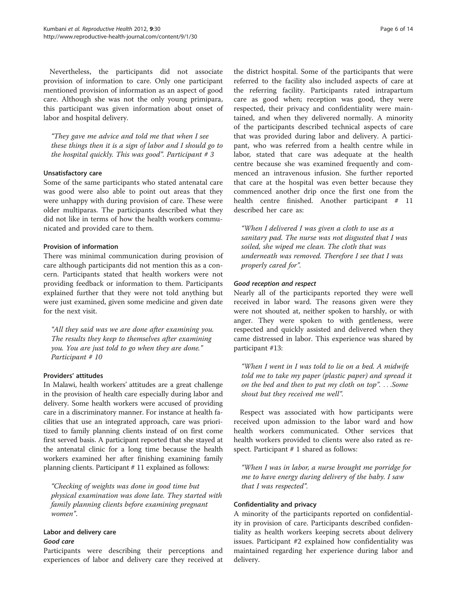Nevertheless, the participants did not associate provision of information to care. Only one participant mentioned provision of information as an aspect of good care. Although she was not the only young primipara, this participant was given information about onset of labor and hospital delivery.

"They gave me advice and told me that when I see these things then it is a sign of labor and I should go to the hospital quickly. This was good". Participant  $#3$ 

#### Unsatisfactory care

Some of the same participants who stated antenatal care was good were also able to point out areas that they were unhappy with during provision of care. These were older multiparas. The participants described what they did not like in terms of how the health workers communicated and provided care to them.

#### Provision of information

There was minimal communication during provision of care although participants did not mention this as a concern. Participants stated that health workers were not providing feedback or information to them. Participants explained further that they were not told anything but were just examined, given some medicine and given date for the next visit.

"All they said was we are done after examining you. The results they keep to themselves after examining you. You are just told to go when they are done." Participant # 10

#### Providers' attitudes

In Malawi, health workers' attitudes are a great challenge in the provision of health care especially during labor and delivery. Some health workers were accused of providing care in a discriminatory manner. For instance at health facilities that use an integrated approach, care was prioritized to family planning clients instead of on first come first served basis. A participant reported that she stayed at the antenatal clinic for a long time because the health workers examined her after finishing examining family planning clients. Participant # 11 explained as follows:

"Checking of weights was done in good time but physical examination was done late. They started with family planning clients before examining pregnant women".

# Labor and delivery care Good care

Participants were describing their perceptions and experiences of labor and delivery care they received at

the district hospital. Some of the participants that were referred to the facility also included aspects of care at the referring facility. Participants rated intrapartum care as good when; reception was good, they were respected, their privacy and confidentiality were maintained, and when they delivered normally. A minority of the participants described technical aspects of care that was provided during labor and delivery. A participant, who was referred from a health centre while in labor, stated that care was adequate at the health centre because she was examined frequently and commenced an intravenous infusion. She further reported that care at the hospital was even better because they commenced another drip once the first one from the health centre finished. Another participant # 11 described her care as:

"When I delivered I was given a cloth to use as a sanitary pad. The nurse was not disgusted that I was soiled, she wiped me clean. The cloth that was underneath was removed. Therefore I see that I was properly cared for".

#### Good reception and respect

Nearly all of the participants reported they were well received in labor ward. The reasons given were they were not shouted at, neither spoken to harshly, or with anger. They were spoken to with gentleness, were respected and quickly assisted and delivered when they came distressed in labor. This experience was shared by participant #13:

"When I went in I was told to lie on a bed. A midwife told me to take my paper (plastic paper) and spread it on the bed and then to put my cloth on top". ...Some shout but they received me well".

Respect was associated with how participants were received upon admission to the labor ward and how health workers communicated. Other services that health workers provided to clients were also rated as respect. Participant # 1 shared as follows:

"When I was in labor, a nurse brought me porridge for me to have energy during delivery of the baby. I saw that I was respected".

#### Confidentiality and privacy

A minority of the participants reported on confidentiality in provision of care. Participants described confidentiality as health workers keeping secrets about delivery issues. Participant #2 explained how confidentiality was maintained regarding her experience during labor and delivery.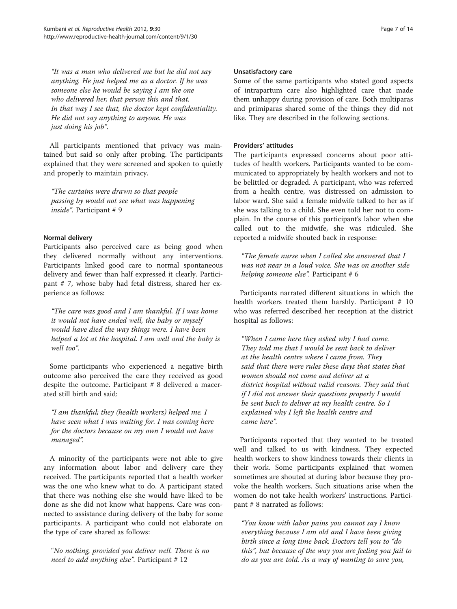"It was a man who delivered me but he did not say anything. He just helped me as a doctor. If he was someone else he would be saying I am the one who delivered her, that person this and that. In that way I see that, the doctor kept confidentiality. He did not say anything to anyone. He was just doing his job".

All participants mentioned that privacy was maintained but said so only after probing. The participants explained that they were screened and spoken to quietly and properly to maintain privacy.

"The curtains were drawn so that people passing by would not see what was happening inside". Participant # 9

#### Normal delivery

Participants also perceived care as being good when they delivered normally without any interventions. Participants linked good care to normal spontaneous delivery and fewer than half expressed it clearly. Participant # 7, whose baby had fetal distress, shared her experience as follows:

"The care was good and I am thankful. If I was home it would not have ended well, the baby or myself would have died the way things were. I have been helped a lot at the hospital. I am well and the baby is well too".

Some participants who experienced a negative birth outcome also perceived the care they received as good despite the outcome. Participant # 8 delivered a macerated still birth and said:

"I am thankful; they (health workers) helped me. I have seen what I was waiting for. I was coming here for the doctors because on my own I would not have managed".

A minority of the participants were not able to give any information about labor and delivery care they received. The participants reported that a health worker was the one who knew what to do. A participant stated that there was nothing else she would have liked to be done as she did not know what happens. Care was connected to assistance during delivery of the baby for some participants. A participant who could not elaborate on the type of care shared as follows:

"No nothing, provided you deliver well. There is no need to add anything else". Participant #12

#### Unsatisfactory care

Some of the same participants who stated good aspects of intrapartum care also highlighted care that made them unhappy during provision of care. Both multiparas and primiparas shared some of the things they did not like. They are described in the following sections.

#### Providers' attitudes

The participants expressed concerns about poor attitudes of health workers. Participants wanted to be communicated to appropriately by health workers and not to be belittled or degraded. A participant, who was referred from a health centre, was distressed on admission to labor ward. She said a female midwife talked to her as if she was talking to a child. She even told her not to complain. In the course of this participant's labor when she called out to the midwife, she was ridiculed. She reported a midwife shouted back in response:

"The female nurse when I called she answered that I was not near in a loud voice. She was on another side helping someone else". Participant # 6

Participants narrated different situations in which the health workers treated them harshly. Participant # 10 who was referred described her reception at the district hospital as follows:

"When I came here they asked why I had come. They told me that I would be sent back to deliver at the health centre where I came from. They said that there were rules these days that states that women should not come and deliver at a district hospital without valid reasons. They said that if I did not answer their questions properly I would be sent back to deliver at my health centre. So I explained why I left the health centre and came here".

Participants reported that they wanted to be treated well and talked to us with kindness. They expected health workers to show kindness towards their clients in their work. Some participants explained that women sometimes are shouted at during labor because they provoke the health workers. Such situations arise when the women do not take health workers' instructions. Participant # 8 narrated as follows:

"You know with labor pains you cannot say I know everything because I am old and I have been giving birth since a long time back. Doctors tell you to "do this", but because of the way you are feeling you fail to do as you are told. As a way of wanting to save you,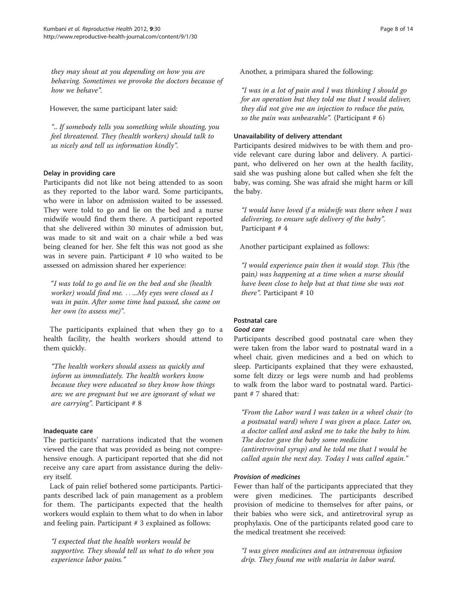they may shout at you depending on how you are behaving. Sometimes we provoke the doctors because of how we behave".

However, the same participant later said:

".. If somebody tells you something while shouting, you feel threatened. They (health workers) should talk to us nicely and tell us information kindly".

# Delay in providing care

Participants did not like not being attended to as soon as they reported to the labor ward. Some participants, who were in labor on admission waited to be assessed. They were told to go and lie on the bed and a nurse midwife would find them there. A participant reported that she delivered within 30 minutes of admission but, was made to sit and wait on a chair while a bed was being cleaned for her. She felt this was not good as she was in severe pain. Participant # 10 who waited to be assessed on admission shared her experience:

"I was told to go and lie on the bed and she (health worker) would find me. .....My eyes were closed as I was in pain. After some time had passed, she came on her own (to assess me)".

The participants explained that when they go to a health facility, the health workers should attend to them quickly.

"The health workers should assess us quickly and inform us immediately. The health workers know because they were educated so they know how things are; we are pregnant but we are ignorant of what we are carrying". Participant # 8

# Inadequate care

The participants' narrations indicated that the women viewed the care that was provided as being not comprehensive enough. A participant reported that she did not receive any care apart from assistance during the delivery itself.

Lack of pain relief bothered some participants. Participants described lack of pain management as a problem for them. The participants expected that the health workers would explain to them what to do when in labor and feeling pain. Participant # 3 explained as follows:

"I expected that the health workers would be supportive. They should tell us what to do when you experience labor pains."

Another, a primipara shared the following:

"I was in a lot of pain and I was thinking I should go for an operation but they told me that I would deliver, they did not give me an injection to reduce the pain, so the pain was unbearable". (Participant  $# 6$ )

#### Unavailability of delivery attendant

Participants desired midwives to be with them and provide relevant care during labor and delivery. A participant, who delivered on her own at the health facility, said she was pushing alone but called when she felt the baby, was coming. She was afraid she might harm or kill the baby.

"I would have loved if a midwife was there when I was delivering, to ensure safe delivery of the baby". Participant # 4

Another participant explained as follows:

"I would experience pain then it would stop. This (the pain) was happening at a time when a nurse should have been close to help but at that time she was not there". Participant #10

# Postnatal care

#### Good care

Participants described good postnatal care when they were taken from the labor ward to postnatal ward in a wheel chair, given medicines and a bed on which to sleep. Participants explained that they were exhausted, some felt dizzy or legs were numb and had problems to walk from the labor ward to postnatal ward. Participant # 7 shared that:

"From the Labor ward I was taken in a wheel chair (to a postnatal ward) where I was given a place. Later on, a doctor called and asked me to take the baby to him. The doctor gave the baby some medicine (antiretroviral syrup) and he told me that I would be called again the next day. Today I was called again."

#### Provision of medicines

Fewer than half of the participants appreciated that they were given medicines. The participants described provision of medicine to themselves for after pains, or their babies who were sick, and antiretroviral syrup as prophylaxis. One of the participants related good care to the medical treatment she received:

"I was given medicines and an intravenous infusion drip. They found me with malaria in labor ward.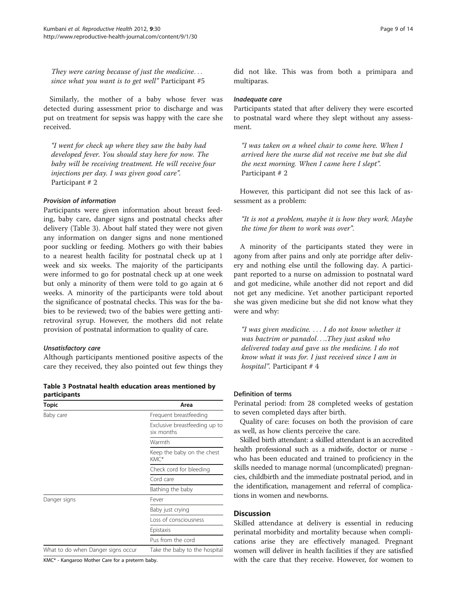They were caring because of just the medicine... since what you want is to get well" Participant #5

Similarly, the mother of a baby whose fever was detected during assessment prior to discharge and was put on treatment for sepsis was happy with the care she received.

"I went for check up where they saw the baby had developed fever. You should stay here for now. The baby will be receiving treatment. He will receive four injections per day. I was given good care". Participant # 2

#### Provision of information

Participants were given information about breast feeding, baby care, danger signs and postnatal checks after delivery (Table 3). About half stated they were not given any information on danger signs and none mentioned poor suckling or feeding. Mothers go with their babies to a nearest health facility for postnatal check up at 1 week and six weeks. The majority of the participants were informed to go for postnatal check up at one week but only a minority of them were told to go again at 6 weeks. A minority of the participants were told about the significance of postnatal checks. This was for the babies to be reviewed; two of the babies were getting antiretroviral syrup. However, the mothers did not relate provision of postnatal information to quality of care.

#### Unsatisfactory care

Although participants mentioned positive aspects of the care they received, they also pointed out few things they

Table 3 Postnatal health education areas mentioned by participants

| Topic                              | Area                                        |
|------------------------------------|---------------------------------------------|
| Baby care                          | Frequent breastfeeding                      |
|                                    | Exclusive breastfeeding up to<br>six months |
|                                    | Warmth                                      |
|                                    | Keep the baby on the chest<br>KMC*          |
|                                    | Check cord for bleeding                     |
|                                    | Cord care                                   |
|                                    | Bathing the baby                            |
| Danger signs                       | Fever                                       |
|                                    | Baby just crying                            |
|                                    | Loss of consciousness                       |
|                                    | Epistaxis                                   |
|                                    | Pus from the cord                           |
| What to do when Danger signs occur | Take the baby to the hospital               |

KMC\* - Kangaroo Mother Care for a preterm baby.

did not like. This was from both a primipara and multiparas.

#### Inadequate care

Participants stated that after delivery they were escorted to postnatal ward where they slept without any assessment.

"I was taken on a wheel chair to come here. When I arrived here the nurse did not receive me but she did the next morning. When I came here I slept". Participant # 2

However, this participant did not see this lack of assessment as a problem:

"It is not a problem, maybe it is how they work. Maybe the time for them to work was over".

A minority of the participants stated they were in agony from after pains and only ate porridge after delivery and nothing else until the following day. A participant reported to a nurse on admission to postnatal ward and got medicine, while another did not report and did not get any medicine. Yet another participant reported she was given medicine but she did not know what they were and why:

"I was given medicine. ... I do not know whether it was bactrim or panadol....They just asked who delivered today and gave us the medicine. I do not know what it was for. I just received since I am in hospital". Participant # 4

# Definition of terms

Perinatal period: from 28 completed weeks of gestation to seven completed days after birth.

Quality of care: focuses on both the provision of care as well, as how clients perceive the care.

Skilled birth attendant: a skilled attendant is an accredited health professional such as a midwife, doctor or nurse who has been educated and trained to proficiency in the skills needed to manage normal (uncomplicated) pregnancies, childbirth and the immediate postnatal period, and in the identification, management and referral of complications in women and newborns.

#### **Discussion**

Skilled attendance at delivery is essential in reducing perinatal morbidity and mortality because when complications arise they are effectively managed. Pregnant women will deliver in health facilities if they are satisfied with the care that they receive. However, for women to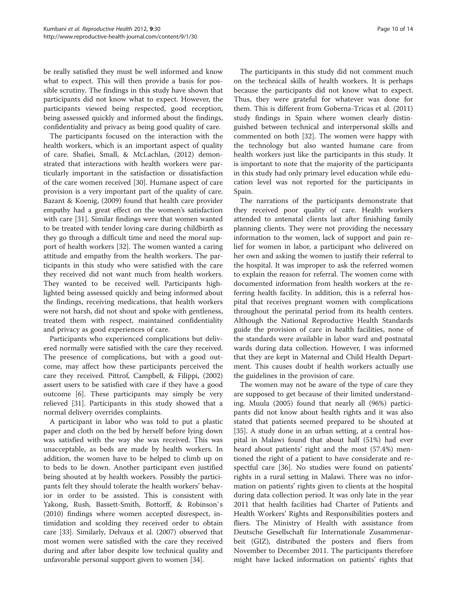be really satisfied they must be well informed and know what to expect. This will then provide a basis for possible scrutiny. The findings in this study have shown that participants did not know what to expect. However, the participants viewed being respected, good reception, being assessed quickly and informed about the findings, confidentiality and privacy as being good quality of care.

The participants focused on the interaction with the health workers, which is an important aspect of quality of care. Shafiei, Small, & McLachlan, (2012) demonstrated that interactions with health workers were particularly important in the satisfaction or dissatisfaction of the care women received [\[30\]](#page-12-0). Humane aspect of care provision is a very important part of the quality of care. Bazant & Koenig, (2009) found that health care provider empathy had a great effect on the women's satisfaction with care [[31\]](#page-12-0). Similar findings were that women wanted to be treated with tender loving care during childbirth as they go through a difficult time and need the moral support of health workers [[32\]](#page-12-0). The women wanted a caring attitude and empathy from the health workers. The participants in this study who were satisfied with the care they received did not want much from health workers. They wanted to be received well. Participants highlighted being assessed quickly and being informed about the findings, receiving medications, that health workers were not harsh, did not shout and spoke with gentleness, treated them with respect, maintained confidentiality and privacy as good experiences of care.

Participants who experienced complications but delivered normally were satisfied with the care they received. The presence of complications, but with a good outcome, may affect how these participants perceived the care they received. Pittrof, Campbell, & Filippi, (2002) assert users to be satisfied with care if they have a good outcome [[6](#page-12-0)]. These participants may simply be very relieved [[31](#page-12-0)]. Participants in this study showed that a normal delivery overrides complaints.

A participant in labor who was told to put a plastic paper and cloth on the bed by herself before lying down was satisfied with the way she was received. This was unacceptable, as beds are made by health workers. In addition, the women have to be helped to climb up on to beds to lie down. Another participant even justified being shouted at by health workers. Possibly the participants felt they should tolerate the health workers' behavior in order to be assisted. This is consistent with Yakong, Rush, Bassett-Smith, Bottorff, & Robinson`s (2010) findings where women accepted disrespect, intimidation and scolding they received order to obtain care [[33\]](#page-12-0). Similarly, Delvaux et al. (2007) observed that most women were satisfied with the care they received during and after labor despite low technical quality and unfavorable personal support given to women [\[34\]](#page-12-0).

The participants in this study did not comment much on the technical skills of health workers. It is perhaps because the participants did not know what to expect. Thus, they were grateful for whatever was done for them. This is different from Goberna-Tricas et al. (2011) study findings in Spain where women clearly distinguished between technical and interpersonal skills and commented on both [[32\]](#page-12-0). The women were happy with the technology but also wanted humane care from health workers just like the participants in this study. It is important to note that the majority of the participants in this study had only primary level education while education level was not reported for the participants in Spain.

The narrations of the participants demonstrate that they received poor quality of care. Health workers attended to antenatal clients last after finishing family planning clients. They were not providing the necessary information to the women, lack of support and pain relief for women in labor, a participant who delivered on her own and asking the women to justify their referral to the hospital. It was improper to ask the referred women to explain the reason for referral. The women come with documented information from health workers at the referring health facility. In addition, this is a referral hospital that receives pregnant women with complications throughout the perinatal period from its health centers. Although the National Reproductive Health Standards guide the provision of care in health facilities, none of the standards were available in labor ward and postnatal wards during data collection. However, I was informed that they are kept in Maternal and Child Health Department. This causes doubt if health workers actually use the guidelines in the provision of care.

The women may not be aware of the type of care they are supposed to get because of their limited understanding. Muula (2005) found that nearly all (96%) participants did not know about health rights and it was also stated that patients seemed prepared to be shouted at [[35\]](#page-12-0). A study done in an urban setting, at a central hospital in Malawi found that about half (51%) had ever heard about patients' right and the most (57.4%) mentioned the right of a patient to have considerate and respectful care [\[36\]](#page-12-0). No studies were found on patients' rights in a rural setting in Malawi. There was no information on patients' rights given to clients at the hospital during data collection period. It was only late in the year 2011 that health facilities had Charter of Patients and Health Workers' Rights and Responsibilities posters and fliers. The Ministry of Health with assistance from Deutsche Gesellschaft für Internationale Zusammenarbeit (GIZ), distributed the posters and fliers from November to December 2011. The participants therefore might have lacked information on patients' rights that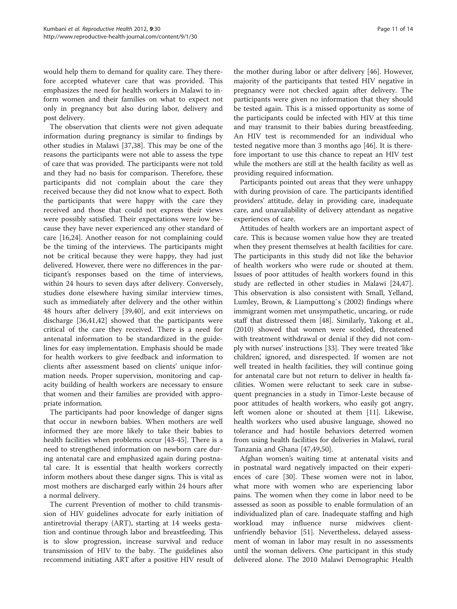would help them to demand for quality care. They therefore accepted whatever care that was provided. This emphasizes the need for health workers in Malawi to inform women and their families on what to expect not only in pregnancy but also during labor, delivery and post delivery.

The observation that clients were not given adequate information during pregnancy is similar to findings by other studies in Malawi [[37,38\]](#page-13-0). This may be one of the reasons the participants were not able to assess the type of care that was provided. The participants were not told and they had no basis for comparison. Therefore, these participants did not complain about the care they received because they did not know what to expect. Both the participants that were happy with the care they received and those that could not express their views were possibly satisfied. Their expectations were low because they have never experienced any other standard of care [[16](#page-12-0),[24](#page-12-0)]. Another reason for not complaining could be the timing of the interviews. The participants might not be critical because they were happy, they had just delivered. However, there were no differences in the participant's responses based on the time of interviews, within 24 hours to seven days after delivery. Conversely, studies done elsewhere having similar interview times, such as immediately after delivery and the other within 48 hours after delivery [\[39,40](#page-13-0)], and exit interviews on discharge [[36,](#page-12-0)[41,42\]](#page-13-0) showed that the participants were critical of the care they received. There is a need for antenatal information to be standardized in the guidelines for easy implementation. Emphasis should be made for health workers to give feedback and information to clients after assessment based on clients' unique information needs. Proper supervision, monitoring and capacity building of health workers are necessary to ensure that women and their families are provided with appropriate information.

The participants had poor knowledge of danger signs that occur in newborn babies. When mothers are well informed they are more likely to take their babies to health facilities when problems occur [\[43](#page-13-0)-[45\]](#page-13-0). There is a need to strengthened information on newborn care during antenatal care and emphasized again during postnatal care. It is essential that health workers correctly inform mothers about these danger signs. This is vital as most mothers are discharged early within 24 hours after a normal delivery.

The current Prevention of mother to child transmission of HIV guidelines advocate for early initiation of antiretrovial therapy (ART), starting at 14 weeks gestation and continue through labor and breastfeeding. This is to slow progression, increase survival and reduce transmission of HIV to the baby. The guidelines also recommend initiating ART after a positive HIV result of the mother during labor or after delivery [[46\]](#page-13-0). However, majority of the participants that tested HIV negative in pregnancy were not checked again after delivery. The participants were given no information that they should be tested again. This is a missed opportunity as some of the participants could be infected with HIV at this time and may transmit to their babies during breastfeeding. An HIV test is recommended for an individual who tested negative more than 3 months ago [[46\]](#page-13-0). It is therefore important to use this chance to repeat an HIV test while the mothers are still at the health facility as well as providing required information.

Participants pointed out areas that they were unhappy with during provision of care. The participants identified providers' attitude, delay in providing care, inadequate care, and unavailability of delivery attendant as negative experiences of care.

Attitudes of health workers are an important aspect of care. This is because women value how they are treated when they present themselves at health facilities for care. The participants in this study did not like the behavior of health workers who were rude or shouted at them. Issues of poor attitudes of health workers found in this study are reflected in other studies in Malawi [\[24](#page-12-0)[,47](#page-13-0)]. This observation is also consistent with Small, Yelland, Lumley, Brown, & Liamputtong`s (2002) findings where immigrant women met unsympathetic, uncaring, or rude staff that distressed them [\[48](#page-13-0)]. Similarly, Yakong et al., (2010) showed that women were scolded, threatened with treatment withdrawal or denial if they did not comply with nurses' instructions [[33\]](#page-12-0). They were treated 'like children', ignored, and disrespected. If women are not well treated in health facilities, they will continue going for antenatal care but not return to deliver in health facilities. Women were reluctant to seek care in subsequent pregnancies in a study in Timor-Leste because of poor attitudes of health workers, who easily got angry, left women alone or shouted at them [[11\]](#page-12-0). Likewise, health workers who used abusive language, showed no tolerance and had hostile behaviors deterred women from using health facilities for deliveries in Malawi, rural Tanzania and Ghana [\[47,49,50\]](#page-13-0).

Afghan women's waiting time at antenatal visits and in postnatal ward negatively impacted on their experiences of care [\[30\]](#page-12-0). These women were not in labor, what more with women who are experiencing labor pains. The women when they come in labor need to be assessed as soon as possible to enable formulation of an individualized plan of care. Inadequate staffing and high workload may influence nurse midwives clientunfriendly behavior [\[51\]](#page-13-0). Nevertheless, delayed assessment of woman in labor may result in no assessments until the woman delivers. One participant in this study delivered alone. The 2010 Malawi Demographic Health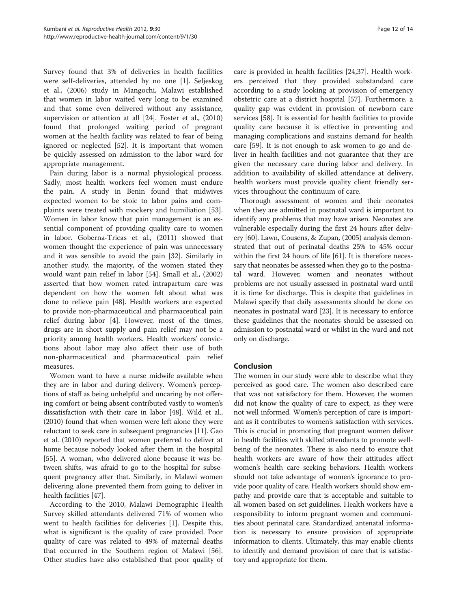Survey found that 3% of deliveries in health facilities were self-deliveries, attended by no one [[1\]](#page-12-0). Seljeskog et al., (2006) study in Mangochi, Malawi established that women in labor waited very long to be examined and that some even delivered without any assistance, supervision or attention at all [\[24](#page-12-0)]. Foster et al., (2010) found that prolonged waiting period of pregnant women at the health facility was related to fear of being ignored or neglected [\[52](#page-13-0)]. It is important that women be quickly assessed on admission to the labor ward for appropriate management.

Pain during labor is a normal physiological process. Sadly, most health workers feel women must endure the pain. A study in Benin found that midwives expected women to be stoic to labor pains and complaints were treated with mockery and humiliation [\[53](#page-13-0)]. Women in labor know that pain management is an essential component of providing quality care to women in labor. Goberna-Tricas et al., (2011) showed that women thought the experience of pain was unnecessary and it was sensible to avoid the pain [[32\]](#page-12-0). Similarly in another study, the majority, of the women stated they would want pain relief in labor [\[54](#page-13-0)]. Small et al., (2002) asserted that how women rated intrapartum care was dependent on how the women felt about what was done to relieve pain [[48\]](#page-13-0). Health workers are expected to provide non-pharmaceutical and pharmaceutical pain relief during labor [\[4](#page-12-0)]. However, most of the times, drugs are in short supply and pain relief may not be a priority among health workers. Health workers' convictions about labor may also affect their use of both non-pharmaceutical and pharmaceutical pain relief measures.

Women want to have a nurse midwife available when they are in labor and during delivery. Women's perceptions of staff as being unhelpful and uncaring by not offering comfort or being absent contributed vastly to women's dissatisfaction with their care in labor [[48](#page-13-0)]. Wild et al., (2010) found that when women were left alone they were reluctant to seek care in subsequent pregnancies [\[11](#page-12-0)]. Gao et al. (2010) reported that women preferred to deliver at home because nobody looked after them in the hospital [[55](#page-13-0)]. A woman, who delivered alone because it was between shifts, was afraid to go to the hospital for subsequent pregnancy after that. Similarly, in Malawi women delivering alone prevented them from going to deliver in health facilities [\[47\]](#page-13-0).

According to the 2010, Malawi Demographic Health Survey skilled attendants delivered 71% of women who went to health facilities for deliveries [\[1](#page-12-0)]. Despite this, what is significant is the quality of care provided. Poor quality of care was related to 49% of maternal deaths that occurred in the Southern region of Malawi [\[56](#page-13-0)]. Other studies have also established that poor quality of care is provided in health facilities [\[24](#page-12-0)[,37](#page-13-0)]. Health workers perceived that they provided substandard care according to a study looking at provision of emergency obstetric care at a district hospital [[57\]](#page-13-0). Furthermore, a quality gap was evident in provision of newborn care services [[58\]](#page-13-0). It is essential for health facilities to provide quality care because it is effective in preventing and managing complications and sustains demand for health care [\[59](#page-13-0)]. It is not enough to ask women to go and deliver in health facilities and not guarantee that they are given the necessary care during labor and delivery. In addition to availability of skilled attendance at delivery, health workers must provide quality client friendly services throughout the continuum of care.

Thorough assessment of women and their neonates when they are admitted in postnatal ward is important to identify any problems that may have arisen. Neonates are vulnerable especially during the first 24 hours after delivery [[60](#page-13-0)]. Lawn, Cousens, & Zupan, (2005) analysis demonstrated that out of perinatal deaths 25% to 45% occur within the first 24 hours of life [\[61](#page-13-0)]. It is therefore necessary that neonates be assessed when they go to the postnatal ward. However, women and neonates without problems are not usually assessed in postnatal ward until it is time for discharge. This is despite that guidelines in Malawi specify that daily assessments should be done on neonates in postnatal ward [[23](#page-12-0)]. It is necessary to enforce these guidelines that the neonates should be assessed on admission to postnatal ward or whilst in the ward and not only on discharge.

# Conclusion

The women in our study were able to describe what they perceived as good care. The women also described care that was not satisfactory for them. However, the women did not know the quality of care to expect, as they were not well informed. Women's perception of care is important as it contributes to women's satisfaction with services. This is crucial in promoting that pregnant women deliver in health facilities with skilled attendants to promote wellbeing of the neonates. There is also need to ensure that health workers are aware of how their attitudes affect women's health care seeking behaviors. Health workers should not take advantage of women's ignorance to provide poor quality of care. Health workers should show empathy and provide care that is acceptable and suitable to all women based on set guidelines. Health workers have a responsibility to inform pregnant women and communities about perinatal care. Standardized antenatal information is necessary to ensure provision of appropriate information to clients. Ultimately, this may enable clients to identify and demand provision of care that is satisfactory and appropriate for them.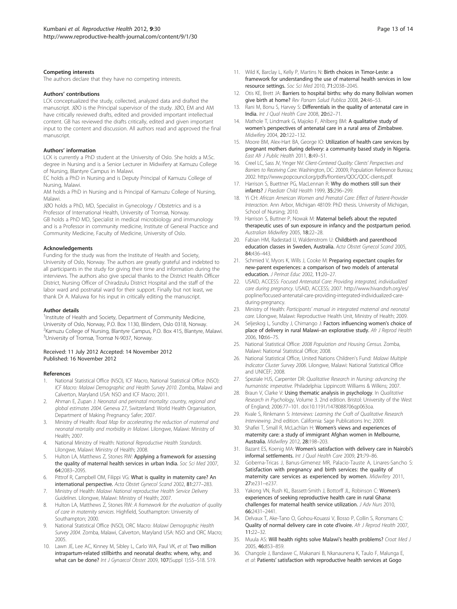#### <span id="page-12-0"></span>Competing interests

The authors declare that they have no competing interests.

#### Authors' contributions

LCK conceptualized the study, collected, analyzed data and drafted the manuscript. JØO is the Principal supervisor of the study. JØO, EM and AM have critically reviewed drafts, edited and provided important intellectual content. GB has reviewed the drafts critically, edited and given important input to the content and discussion. All authors read and approved the final manuscript.

#### Authors' information

LCK is currently a PhD student at the University of Oslo. She holds a M.Sc. degree in Nursing and is a Senior Lecturer in Midwifery at Kamuzu College of Nursing, Blantyre Campus in Malawi.

EC holds a PhD in Nursing and is Deputy Principal of Kamuzu College of Nursing, Malawi.

AM holds a PhD in Nursing and is Principal of Kamuzu College of Nursing, Malawi.

JØO holds a PhD, MD, Specialist in Gynecology / Obstetrics and is a Professor of International Health, University of Tromsø, Norway. GB holds a PhD MD, Specialist in medical microbiology and immunology and is a Professor in community medicine, Institute of General Practice and Community Medicine, Faculty of Medicine, University of Oslo.

#### Acknowledgements

Funding for the study was from the Institute of Health and Society, University of Oslo, Norway. The authors are greatly grateful and indebted to all participants in the study for giving their time and information during the interviews. The authors also give special thanks to the District Health Officer District, Nursing Officer of Chiradzulu District Hospital and the staff of the labor ward and postnatal ward for their support. Finally but not least, we thank Dr A. Maluwa for his input in critically editing the manuscript.

#### Author details

<sup>1</sup>Institute of Health and Society, Department of Community Medicine, University of Oslo, Norway, P.O. Box 1130, Blindern, Oslo 0318, Norway. <sup>2</sup> Kamuzu College of Nursing, Blantyre Campus, P.O. Box 415, Blantyre, Malawi. 3 University of Tromsø, Tromsø N-9037, Norway.

#### Received: 11 July 2012 Accepted: 14 November 2012 Published: 16 November 2012

#### References

- 1. National Statistical Office (NSO), ICF Macro, National Statistical Office (NSO): ICF Macro: Malawi Demographic and Health Survey 2010. Zomba, Malawi and Calverton, Maryland USA: NSO and ICF Macro; 2011.
- 2. Ahman E, Zupan J: Neonatal and perinatal mortality: country, regional and global estimates 2004. Geneva 27, Switzerland: World Health Organisation, Department of Making Pregnancy Safer; 2007.
- 3. Ministry of Health: Road Map for accelerating the reduction of maternal and neonatal mortality and morbidity in Malawi. Lilongwe, Malawi: Ministry of Health; 2007.
- 4. National Ministry of Health: National Reproductive Health Standards. Lilongwe, Malawi: Ministry of Health; 2008.
- 5. Hulton LA, Matthews Z, Stones RW: Applying a framework for assessing the quality of maternal health services in urban India. Soc Sci Med 2007, 64:2083–2095.
- 6. Pittrof R, Campbell OM, Filippi VG: What is quality in maternity care? An international perspective. Acta Obstet Gynecol Scand 2002, 81:277–283.
- 7. Ministry of Health: Malawi National reproductive Health Service Delivery Guidelines. Lilongwe, Malawi: Ministry of Health; 2007.
- 8. Hulton LA, Matthews Z, Stones RW: A framework for the evaluation of quality of care in maternity services. Highfield, Southampton: University of Southampton; 2000.
- National Statistical Office (NSO), ORC Macro: Malawi Demographic Health Survey 2004. Zomba, Malawi, Calverton, Maryland USA: NSO and ORC Macro; 2005.
- 10. Lawn JE, Lee AC, Kinney M, Sibley L, Carlo WA, Paul VK, et al: Two million intrapartum-related stillbirths and neonatal deaths: where, why, and what can be done? Int J Gynaecol Obstet 2009, 107(Suppl 1):S5-S18. S19.
- 11. Wild K, Barclay L, Kelly P, Martins N: Birth choices in Timor-Leste: a framework for understanding the use of maternal health services in low resource settings. Soc Sci Med 2010, 71:2038–2045.
- 12. Otis KE, Brett JA: Barriers to hospital births: why do many Bolivian women give birth at home? Rev Panam Salud Publica 2008, 24:46–53.
- 13. Rani M, Bonu S, Harvey S: Differentials in the quality of antenatal care in India. Int J Qual Health Care 2008, 20:62–71.
- 14. Mathole T, Lindmark G, Majoko F, Ahlberg BM: A qualitative study of women's perspectives of antenatal care in a rural area of Zimbabwe. Midwifery 2004, 20:122–132.
- 15. Moore BM, Alex-Hart BA, George IO: Utilization of health care services by pregnant mothers during delivery: a community based study in Nigeria. East Afr J Public Health 2011, 8:49–51.
- 16. Creel LC, Sass JV, Yinger NV: Client-Centered Quality: Clients' Perspectives and Barriers to Receiving Care. Washington, DC: 20009, Population Reference Bureau; 2002.<http://www.popcouncil.org/pdfs/frontiers/QOC/QOC-clients.pdf>.
- 17. Harrison S, Buettner PG, MacLennan R: Why do mothers still sun their infants? J Paediatr Child Health 1999, 35:296–299.
- 18. Yi CH: African American Women and Prenatal Care: Effect of Patient-Provider Interaction. Ann Arbor, Michigan 48109: PhD thesis. University of Michigan, School of Nursing; 2010.
- 19. Harrison S, Buttner P, Nowak M: Maternal beliefs about the reputed therapeutic uses of sun exposure in infancy and the postpartum period. Australian Midwifery 2005, 18:22–28.
- 20. Fabian HM, Radestad IJ, Waldenstrom U: Childbirth and parenthood education classes in Sweden, Australia. Acta Obstet Gynecol Scand 2005, 84:436–443.
- 21. Schmied V, Myors K, Wills J, Cooke M: Preparing expectant couples for new-parent experiences: a comparison of two models of antenatal education. *I Perinat Educ* 2002, 11:20-27.
- 22. USAID, ACCESS: Focused Antenatal Care: Providing integrated, individualized care during pregnancy. USAID, ACCESS; 2007. [http://www.hivandsrh.org/es/](http://www.hivandsrh.org/es/popline/focused-antenatal-care-providing-integrated-individualized-care-during-pregnancy) [popline/focused-antenatal-care-providing-integrated-individualized-care](http://www.hivandsrh.org/es/popline/focused-antenatal-care-providing-integrated-individualized-care-during-pregnancy)[during-pregnancy.](http://www.hivandsrh.org/es/popline/focused-antenatal-care-providing-integrated-individualized-care-during-pregnancy)
- 23. Ministry of Health: Participants' manual in integrated maternal and neonatal care. Lilongwe, Malawi: Reproductive Health Unit, Ministry of Health; 2009.
- 24. Seljeskog L, Sundby J, Chimango J: Factors influencing women's choice of place of delivery in rural Malawi-an explorative study. Afr J Reprod Health 2006, 10:66–75.
- 25. National Statistical Office: 2008 Population and Housing Census. Zomba, Malawi: National Statistical Office; 2008.
- 26. National Statistical Office, United Nations Children's Fund: Malawi Multiple Indicator Cluster Survey 2006. Lilongwe, Malawi: National Statistical Office and UNICEF; 2008.
- 27. Speziale HJS, Carpenter DR: Qualitative Research in Nursing: advancing the humanistic imperative. Philadelphia: Lippincott Williams & Wilkins; 2007.
- 28. Braun V, Clarke V: Using thematic analysis in psychology. In Qualitative Research in Psychology, Volume 3. 2nd edition. Bristol: University of the West of England; 2006:77–101. doi[:10.1191/1478088706qp063oa](http://dx.doi.org/10.1191/1478088706qp063oa).
- 29. Kvale S, Rinkmann S: Interviews: Learning the Craft of Qualitative Research Interviewing. 2nd edition. California: Sage Publications Inc; 2009.
- 30. Shafiei T, Small R, McLachlan H: Women's views and experiences of maternity care: a study of immigrant Afghan women in Melbourne, Australia. Midwifery 2012, 28:198–203.
- 31. Bazant ES, Koenig MA: Women's satisfaction with delivery care in Nairobi's informal settlements. Int J Qual Health Care 2009, 21:79–86.
- 32. Goberna-Tricas J, Banus-Gimenez MR, Palacio-Tauste A, Linares-Sancho S: Satisfaction with pregnancy and birth services: the quality of maternity care services as experienced by women. Midwifery 2011, 27:e231–e237.
- 33. Yakong VN, Rush KL, Bassett-Smith J, Bottorff JL, Robinson C: Women's experiences of seeking reproductive health care in rural Ghana: challenges for maternal health service utilization. J Adv Nurs 2010, 66:2431–2441.
- 34. Delvaux T, Ake-Tano O, Gohou-Kouassi V, Bosso P, Collin S, Ronsmans C: Quality of normal delivery care in cote d'ivoire. Afr J Reprod Health 2007, 11:22–32.
- 35. Muula AS: Will health rights solve Malawi's health problems? Croat Med J 2005, 46:853–859.
- 36. Changole J, Bandawe C, Makanani B, Nkanaunena K, Taulo F, Malunga E, et al: Patients' satisfaction with reproductive health services at Gogo